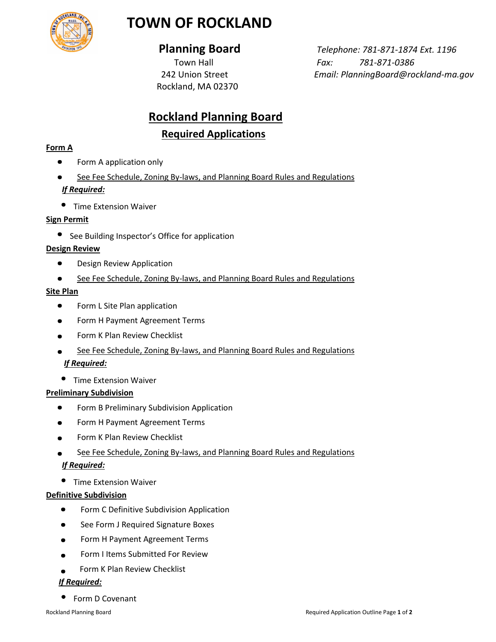

## **TOWN OF ROCKLAND**

Rockland, MA 02370

 **Planning Board** *Telephone: 781-871-1874 Ext. 1196* Town Hall *Fax: 781-871-0386* 242 Union Street *Email: PlanningBoard@rockland-ma.gov*

# **Rockland Planning Board**

### **Required Applications**

#### **Form A**

- Form A application only
- See Fee Schedule, Zoning By-laws, and Planning Board Rules and Regulations *If Required:*
- Time Extension Waiver

#### **Sign Permit**

**•** See Building Inspector's Office for application

#### **Design Review**

- $\bullet$ Design Review Application
- See Fee Schedule, Zoning By-laws, and Planning Board Rules and Regulations

#### **Site Plan**

- $\bullet$ Form L Site Plan application
- Form H Payment Agreement Terms
- Form K Plan Review Checklist
- See Fee Schedule, Zoning By-laws, and Planning Board Rules and Regulations *If Required:*
- $\bullet$ Time Extension Waiver

#### **Preliminary Subdivision**

- Form B Preliminary Subdivision Application  $\bullet$
- Form H Payment Agreement Terms  $\bullet$
- Form K Plan Review Checklist
- See Fee Schedule, Zoning By-laws, and Planning Board Rules and Regulations *If Required:*
- Time Extension Waiver

#### **Definitive Subdivision**

- $\bullet$ Form C Definitive Subdivision Application
- See Form J Required Signature Boxes  $\bullet$
- Form H Payment Agreement Terms  $\bullet$
- Form I Items Submitted For Review  $\bullet$
- Form K Plan Review Checklist

#### *If Required:*

• Form D Covenant